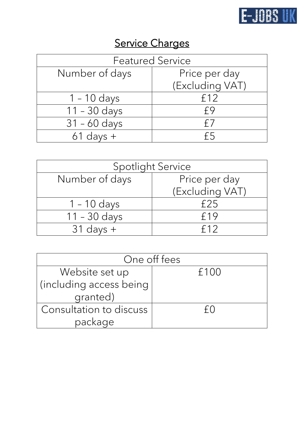

## Service Charges

| <b>Featured Service</b> |                 |
|-------------------------|-----------------|
| Number of days          | Price per day   |
|                         | (Excluding VAT) |
| $1 - 10$ days           | f12             |
| $11 - 30$ days          | f9              |
| $31 - 60$ days          | f /             |
| $61$ days $+$           |                 |

| <b>Spotlight Service</b> |                 |
|--------------------------|-----------------|
| Number of days           | Price per day   |
|                          | (Excluding VAT) |
| $1 - 10$ days            | f25             |
| $11 - 30$ days           | f19             |
| $31$ days $+$            | f12             |

| One off fees            |      |  |
|-------------------------|------|--|
| Website set up          | f100 |  |
| (including access being |      |  |
| granted)                |      |  |
| Consultation to discuss | fΩ   |  |
| package                 |      |  |